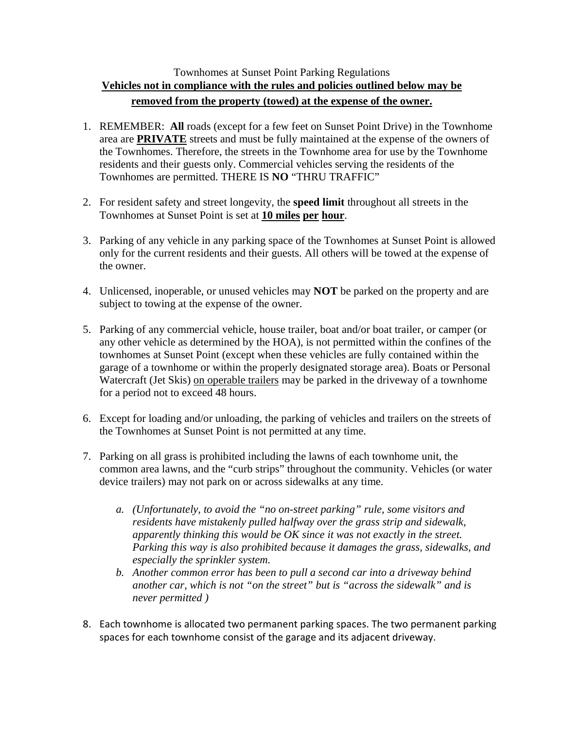## Townhomes at Sunset Point Parking Regulations **Vehicles not in compliance with the rules and policies outlined below may be removed from the property (towed) at the expense of the owner.**

- 1. REMEMBER: **All** roads (except for a few feet on Sunset Point Drive) in the Townhome area are **PRIVATE** streets and must be fully maintained at the expense of the owners of the Townhomes. Therefore, the streets in the Townhome area for use by the Townhome residents and their guests only. Commercial vehicles serving the residents of the Townhomes are permitted. THERE IS **NO** "THRU TRAFFIC"
- 2. For resident safety and street longevity, the **speed limit** throughout all streets in the Townhomes at Sunset Point is set at **10 miles per hour**.
- 3. Parking of any vehicle in any parking space of the Townhomes at Sunset Point is allowed only for the current residents and their guests. All others will be towed at the expense of the owner.
- 4. Unlicensed, inoperable, or unused vehicles may **NOT** be parked on the property and are subject to towing at the expense of the owner.
- 5. Parking of any commercial vehicle, house trailer, boat and/or boat trailer, or camper (or any other vehicle as determined by the HOA), is not permitted within the confines of the townhomes at Sunset Point (except when these vehicles are fully contained within the garage of a townhome or within the properly designated storage area). Boats or Personal Watercraft (Jet Skis) on operable trailers may be parked in the driveway of a townhome for a period not to exceed 48 hours.
- 6. Except for loading and/or unloading, the parking of vehicles and trailers on the streets of the Townhomes at Sunset Point is not permitted at any time.
- 7. Parking on all grass is prohibited including the lawns of each townhome unit, the common area lawns, and the "curb strips" throughout the community. Vehicles (or water device trailers) may not park on or across sidewalks at any time.
	- *a. (Unfortunately, to avoid the "no on-street parking" rule, some visitors and residents have mistakenly pulled halfway over the grass strip and sidewalk, apparently thinking this would be OK since it was not exactly in the street. Parking this way is also prohibited because it damages the grass, sidewalks, and especially the sprinkler system.*
	- *b. Another common error has been to pull a second car into a driveway behind another car, which is not "on the street" but is "across the sidewalk" and is never permitted )*
- 8. Each townhome is allocated two permanent parking spaces. The two permanent parking spaces for each townhome consist of the garage and its adjacent driveway.